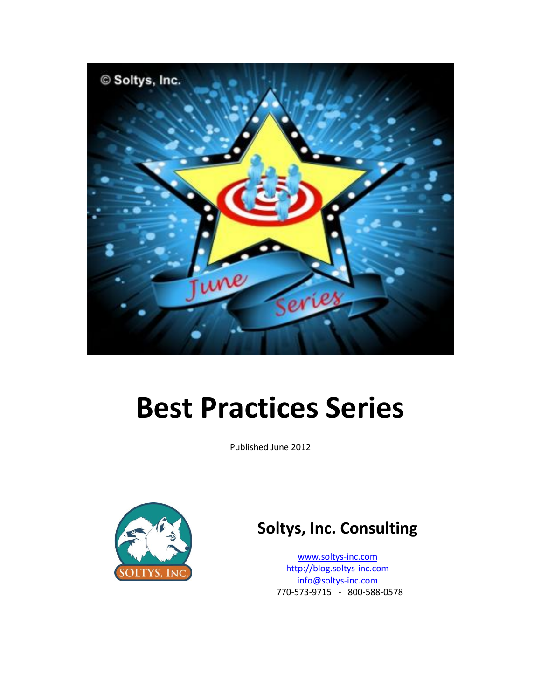

# **Best Practices Series**

Published June 2012



# **Soltys, Inc. Consulting**

[www.soltys-inc.com](http://www.soltys-inc.com/) [http://blog.soltys-inc.com](http://blog.soltys-inc.com/) [info@soltys-inc.com](mailto:info@soltys-inc.com) 770-573-9715 - 800-588-0578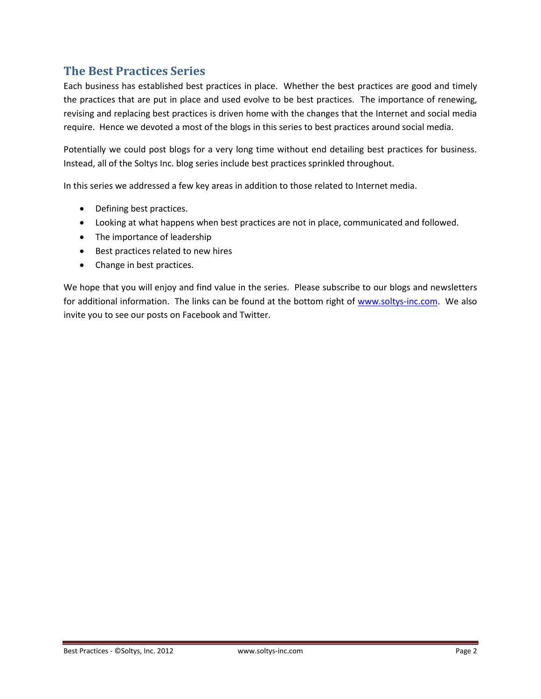# <span id="page-1-0"></span>**The Best Practices Series**

Each business has established best practices in place. Whether the best practices are good and timely the practices that are put in place and used evolve to be best practices. The importance of renewing, revising and replacing best practices is driven home with the changes that the Internet and social media require. Hence we devoted a most of the blogs in this series to best practices around social media.

Potentially we could post blogs for a very long time without end detailing best practices for business. Instead, all of the Soltys Inc. blog series include best practices sprinkled throughout.

In this series we addressed a few key areas in addition to those related to Internet media.

- Defining best practices.
- Looking at what happens when best practices are not in place, communicated and followed.
- The importance of leadership
- Best practices related to new hires
- Change in best practices.

We hope that you will enjoy and find value in the series. Please subscribe to our blogs and newsletters for additional information. The links can be found at the bottom right of [www.soltys-inc.com.](http://www.soltys-inc.com/) We also invite you to see our posts on Facebook and Twitter.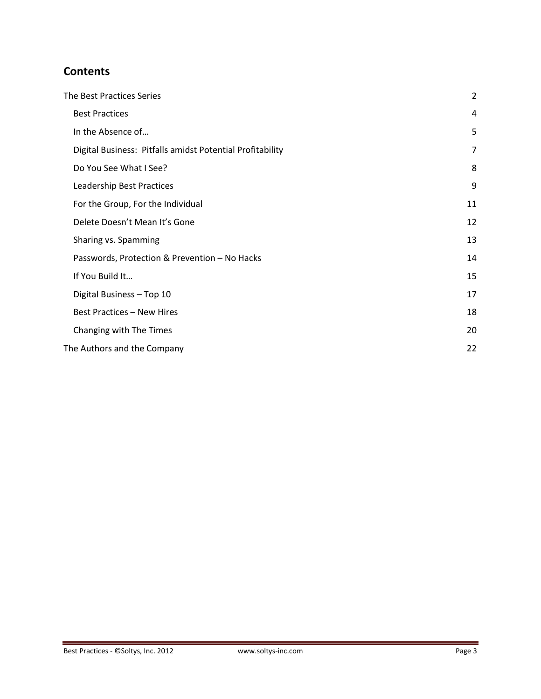# **Contents**

| The Best Practices Series                                 | 2  |
|-----------------------------------------------------------|----|
| <b>Best Practices</b>                                     | 4  |
| In the Absence of                                         | 5  |
| Digital Business: Pitfalls amidst Potential Profitability | 7  |
| Do You See What I See?                                    | 8  |
| Leadership Best Practices                                 | 9  |
| For the Group, For the Individual                         | 11 |
| Delete Doesn't Mean It's Gone                             | 12 |
| Sharing vs. Spamming                                      | 13 |
| Passwords, Protection & Prevention - No Hacks             | 14 |
| If You Build It                                           | 15 |
| Digital Business - Top 10                                 | 17 |
| <b>Best Practices - New Hires</b>                         | 18 |
| Changing with The Times                                   | 20 |
| The Authors and the Company                               | 22 |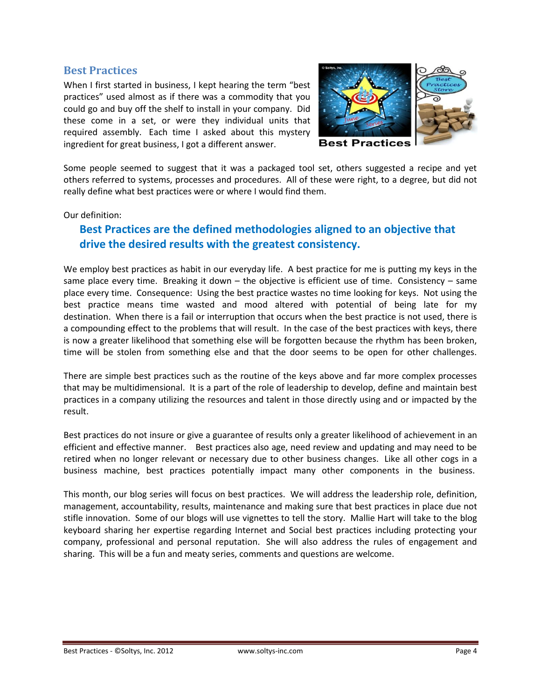#### <span id="page-3-0"></span>**Best Practices**

When I first started in business, I kept hearing the term "best practices" used almost as if there was a commodity that you could go and buy off the shelf to install in your company. Did these come in a set, or were they individual units that required assembly. Each time I asked about this mystery ingredient for great business, I got a different answer.



Some people seemed to suggest that it was a packaged tool set, others suggested a recipe and yet others referred to systems, processes and procedures. All of these were right, to a degree, but did not really define what best practices were or where I would find them.

Our definition:

# **Best Practices are the defined methodologies aligned to an objective that drive the desired results with the greatest consistency.**

We employ best practices as habit in our everyday life. A best practice for me is putting my keys in the same place every time. Breaking it down – the objective is efficient use of time. Consistency – same place every time. Consequence: Using the best practice wastes no time looking for keys. Not using the best practice means time wasted and mood altered with potential of being late for my destination. When there is a fail or interruption that occurs when the best practice is not used, there is a compounding effect to the problems that will result. In the case of the best practices with keys, there is now a greater likelihood that something else will be forgotten because the rhythm has been broken, time will be stolen from something else and that the door seems to be open for other challenges.

There are simple best practices such as the routine of the keys above and far more complex processes that may be multidimensional. It is a part of the role of leadership to develop, define and maintain best practices in a company utilizing the resources and talent in those directly using and or impacted by the result.

Best practices do not insure or give a guarantee of results only a greater likelihood of achievement in an efficient and effective manner. Best practices also age, need review and updating and may need to be retired when no longer relevant or necessary due to other business changes. Like all other cogs in a business machine, best practices potentially impact many other components in the business.

This month, our blog series will focus on best practices. We will address the leadership role, definition, management, accountability, results, maintenance and making sure that best practices in place due not stifle innovation. Some of our blogs will use vignettes to tell the story. Mallie Hart will take to the blog keyboard sharing her expertise regarding Internet and Social best practices including protecting your company, professional and personal reputation. She will also address the rules of engagement and sharing. This will be a fun and meaty series, comments and questions are welcome.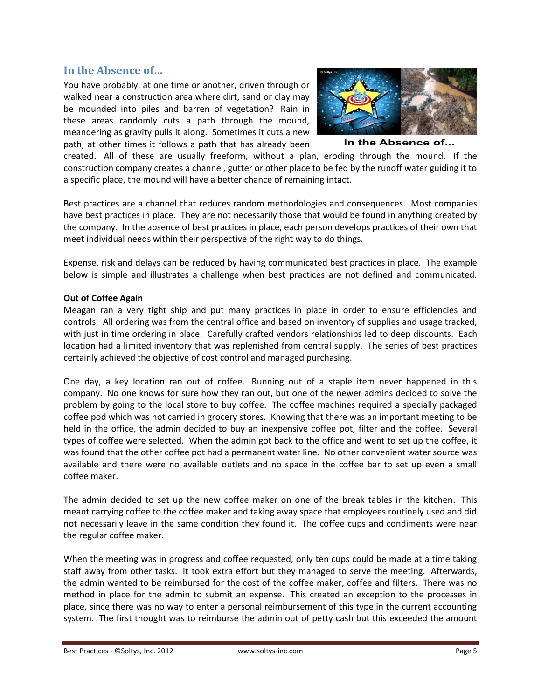#### <span id="page-4-0"></span>**In the Absence of…**

You have probably, at one time or another, driven through or walked near a construction area where dirt, sand or clay may be mounded into piles and barren of vegetation? Rain in these areas randomly cuts a path through the mound, meandering as gravity pulls it along. Sometimes it cuts a new path, at other times it follows a path that has already been



In the Absence of...

created. All of these are usually freeform, without a plan, eroding through the mound. If the construction company creates a channel, gutter or other place to be fed by the runoff water guiding it to a specific place, the mound will have a better chance of remaining intact.

Best practices are a channel that reduces random methodologies and consequences. Most companies have best practices in place. They are not necessarily those that would be found in anything created by the company. In the absence of best practices in place, each person develops practices of their own that meet individual needs within their perspective of the right way to do things.

Expense, risk and delays can be reduced by having communicated best practices in place. The example below is simple and illustrates a challenge when best practices are not defined and communicated.

#### **Out of Coffee Again**

Meagan ran a very tight ship and put many practices in place in order to ensure efficiencies and controls. All ordering was from the central office and based on inventory of supplies and usage tracked, with just in time ordering in place. Carefully crafted vendors relationships led to deep discounts. Each location had a limited inventory that was replenished from central supply. The series of best practices certainly achieved the objective of cost control and managed purchasing.

One day, a key location ran out of coffee. Running out of a staple item never happened in this company. No one knows for sure how they ran out, but one of the newer admins decided to solve the problem by going to the local store to buy coffee. The coffee machines required a specially packaged coffee pod which was not carried in grocery stores. Knowing that there was an important meeting to be held in the office, the admin decided to buy an inexpensive coffee pot, filter and the coffee. Several types of coffee were selected. When the admin got back to the office and went to set up the coffee, it was found that the other coffee pot had a permanent water line. No other convenient water source was available and there were no available outlets and no space in the coffee bar to set up even a small coffee maker.

The admin decided to set up the new coffee maker on one of the break tables in the kitchen. This meant carrying coffee to the coffee maker and taking away space that employees routinely used and did not necessarily leave in the same condition they found it. The coffee cups and condiments were near the regular coffee maker.

When the meeting was in progress and coffee requested, only ten cups could be made at a time taking staff away from other tasks. It took extra effort but they managed to serve the meeting. Afterwards, the admin wanted to be reimbursed for the cost of the coffee maker, coffee and filters. There was no method in place for the admin to submit an expense. This created an exception to the processes in place, since there was no way to enter a personal reimbursement of this type in the current accounting system. The first thought was to reimburse the admin out of petty cash but this exceeded the amount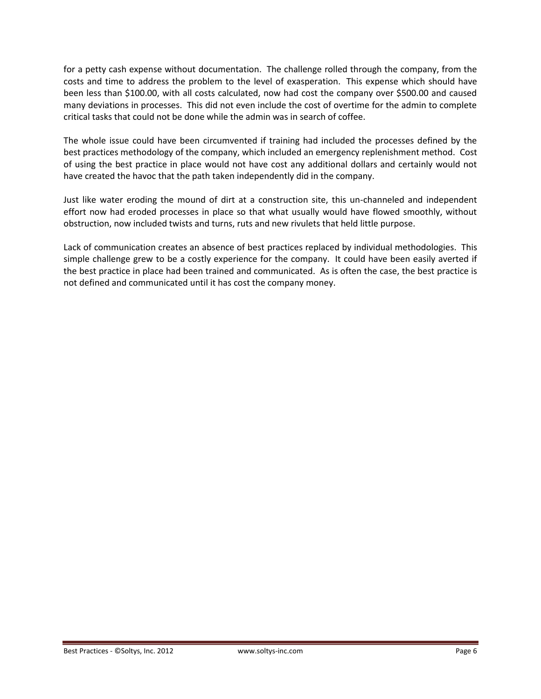for a petty cash expense without documentation. The challenge rolled through the company, from the costs and time to address the problem to the level of exasperation. This expense which should have been less than \$100.00, with all costs calculated, now had cost the company over \$500.00 and caused many deviations in processes. This did not even include the cost of overtime for the admin to complete critical tasks that could not be done while the admin was in search of coffee.

The whole issue could have been circumvented if training had included the processes defined by the best practices methodology of the company, which included an emergency replenishment method. Cost of using the best practice in place would not have cost any additional dollars and certainly would not have created the havoc that the path taken independently did in the company.

Just like water eroding the mound of dirt at a construction site, this un-channeled and independent effort now had eroded processes in place so that what usually would have flowed smoothly, without obstruction, now included twists and turns, ruts and new rivulets that held little purpose.

Lack of communication creates an absence of best practices replaced by individual methodologies. This simple challenge grew to be a costly experience for the company. It could have been easily averted if the best practice in place had been trained and communicated. As is often the case, the best practice is not defined and communicated until it has cost the company money.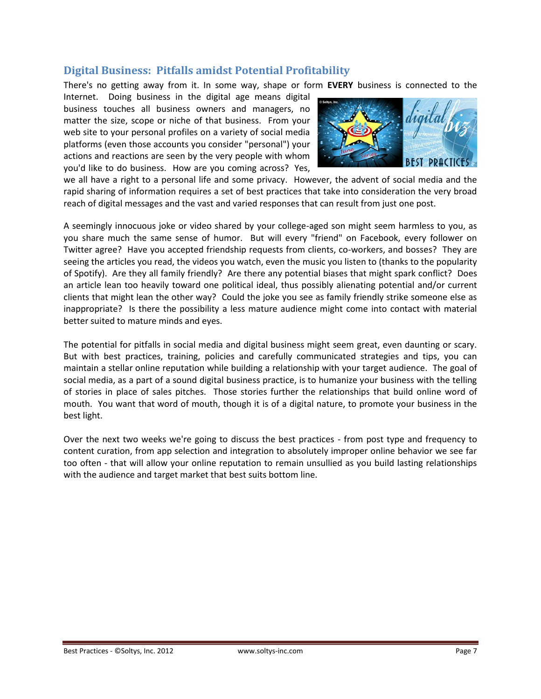#### <span id="page-6-0"></span>**Digital Business: Pitfalls amidst Potential Profitability**

There's no getting away from it. In some way, shape or form **EVERY** business is connected to the

Internet. Doing business in the digital age means digital business touches all business owners and managers, no matter the size, scope or niche of that business. From your web site to your personal profiles on a variety of social media platforms (even those accounts you consider "personal") your actions and reactions are seen by the very people with whom you'd like to do business. How are you coming across? Yes,



we all have a right to a personal life and some privacy. However, the advent of social media and the rapid sharing of information requires a set of best practices that take into consideration the very broad reach of digital messages and the vast and varied responses that can result from just one post.

A seemingly innocuous joke or video shared by your college-aged son might seem harmless to you, as you share much the same sense of humor. But will every "friend" on Facebook, every follower on Twitter agree? Have you accepted friendship requests from clients, co-workers, and bosses? They are seeing the articles you read, the videos you watch, even the music you listen to (thanks to the popularity of Spotify). Are they all family friendly? Are there any potential biases that might spark conflict? Does an article lean too heavily toward one political ideal, thus possibly alienating potential and/or current clients that might lean the other way? Could the joke you see as family friendly strike someone else as inappropriate? Is there the possibility a less mature audience might come into contact with material better suited to mature minds and eyes.

The potential for pitfalls in social media and digital business might seem great, even daunting or scary. But with best practices, training, policies and carefully communicated strategies and tips, you can maintain a stellar online reputation while building a relationship with your target audience. The goal of social media, as a part of a sound digital business practice, is to humanize your business with the telling of stories in place of sales pitches. Those stories further the relationships that build online word of mouth. You want that word of mouth, though it is of a digital nature, to promote your business in the best light.

Over the next two weeks we're going to discuss the best practices - from post type and frequency to content curation, from app selection and integration to absolutely improper online behavior we see far too often - that will allow your online reputation to remain unsullied as you build lasting relationships with the audience and target market that best suits bottom line.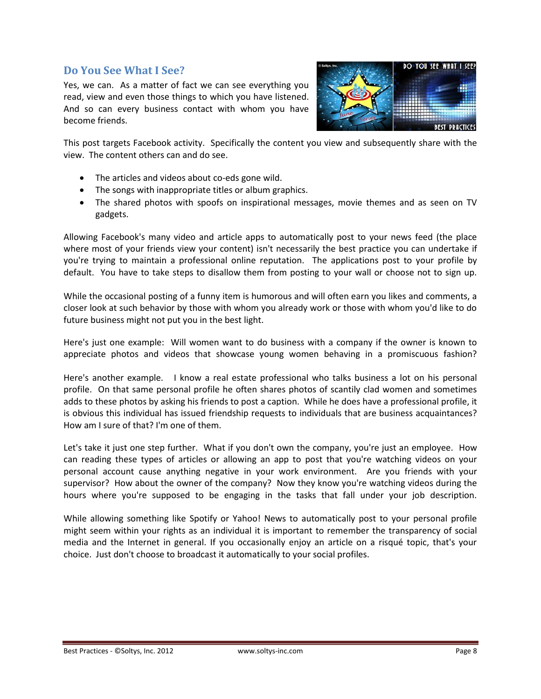#### <span id="page-7-0"></span>**Do You See What I See?**

Yes, we can. As a matter of fact we can see everything you read, view and even those things to which you have listened. And so can every business contact with whom you have become friends.



This post targets Facebook activity. Specifically the content you view and subsequently share with the view. The content others can and do see.

- The articles and videos about co-eds gone wild.
- The songs with inappropriate titles or album graphics.
- The shared photos with spoofs on inspirational messages, movie themes and as seen on TV gadgets.

Allowing Facebook's many video and article apps to automatically post to your news feed (the place where most of your friends view your content) isn't necessarily the best practice you can undertake if you're trying to maintain a professional online reputation. The applications post to your profile by default. You have to take steps to disallow them from posting to your wall or choose not to sign up.

While the occasional posting of a funny item is humorous and will often earn you likes and comments, a closer look at such behavior by those with whom you already work or those with whom you'd like to do future business might not put you in the best light.

Here's just one example: Will women want to do business with a company if the owner is known to appreciate photos and videos that showcase young women behaving in a promiscuous fashion?

Here's another example. I know a real estate professional who talks business a lot on his personal profile. On that same personal profile he often shares photos of scantily clad women and sometimes adds to these photos by asking his friends to post a caption. While he does have a professional profile, it is obvious this individual has issued friendship requests to individuals that are business acquaintances? How am I sure of that? I'm one of them.

Let's take it just one step further. What if you don't own the company, you're just an employee. How can reading these types of articles or allowing an app to post that you're watching videos on your personal account cause anything negative in your work environment. Are you friends with your supervisor? How about the owner of the company? Now they know you're watching videos during the hours where you're supposed to be engaging in the tasks that fall under your job description.

While allowing something like Spotify or Yahoo! News to automatically post to your personal profile might seem within your rights as an individual it is important to remember the transparency of social media and the Internet in general. If you occasionally enjoy an article on a risqué topic, that's your choice. Just don't choose to broadcast it automatically to your social profiles.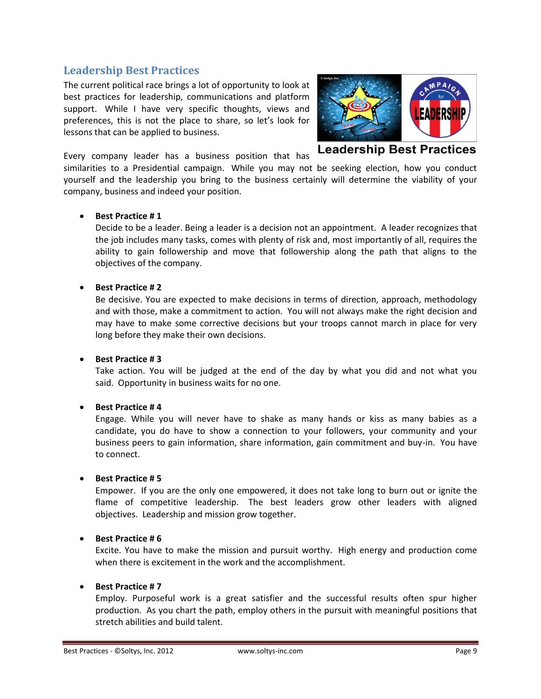#### <span id="page-8-0"></span>**Leadership Best Practices**

The current political race brings a lot of opportunity to look at best practices for leadership, communications and platform support. While I have very specific thoughts, views and preferences, this is not the place to share, so let's look for lessons that can be applied to business.

Every company leader has a business position that has



**Leadership Best Practices** 

similarities to a Presidential campaign. While you may not be seeking election, how you conduct yourself and the leadership you bring to the business certainly will determine the viability of your company, business and indeed your position.

#### **Best Practice # 1**

Decide to be a leader. Being a leader is a decision not an appointment. A leader recognizes that the job includes many tasks, comes with plenty of risk and, most importantly of all, requires the ability to gain followership and move that followership along the path that aligns to the objectives of the company.

#### **Best Practice # 2**

Be decisive. You are expected to make decisions in terms of direction, approach, methodology and with those, make a commitment to action. You will not always make the right decision and may have to make some corrective decisions but your troops cannot march in place for very long before they make their own decisions.

#### **Best Practice # 3**

Take action. You will be judged at the end of the day by what you did and not what you said. Opportunity in business waits for no one.

#### **Best Practice # 4**

Engage. While you will never have to shake as many hands or kiss as many babies as a candidate, you do have to show a connection to your followers, your community and your business peers to gain information, share information, gain commitment and buy-in. You have to connect.

#### **Best Practice # 5**

Empower. If you are the only one empowered, it does not take long to burn out or ignite the flame of competitive leadership. The best leaders grow other leaders with aligned objectives. Leadership and mission grow together.

#### **Best Practice # 6**

Excite. You have to make the mission and pursuit worthy. High energy and production come when there is excitement in the work and the accomplishment.

#### **Best Practice # 7**

Employ. Purposeful work is a great satisfier and the successful results often spur higher production. As you chart the path, employ others in the pursuit with meaningful positions that stretch abilities and build talent.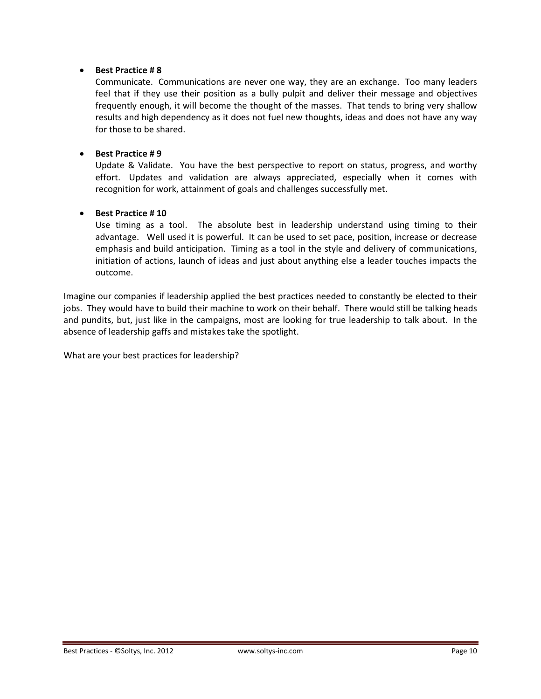#### **Best Practice # 8**

Communicate. Communications are never one way, they are an exchange. Too many leaders feel that if they use their position as a bully pulpit and deliver their message and objectives frequently enough, it will become the thought of the masses. That tends to bring very shallow results and high dependency as it does not fuel new thoughts, ideas and does not have any way for those to be shared.

#### **Best Practice # 9**

Update & Validate. You have the best perspective to report on status, progress, and worthy effort. Updates and validation are always appreciated, especially when it comes with recognition for work, attainment of goals and challenges successfully met.

#### **Best Practice # 10**

Use timing as a tool. The absolute best in leadership understand using timing to their advantage. Well used it is powerful. It can be used to set pace, position, increase or decrease emphasis and build anticipation. Timing as a tool in the style and delivery of communications, initiation of actions, launch of ideas and just about anything else a leader touches impacts the outcome.

Imagine our companies if leadership applied the best practices needed to constantly be elected to their jobs. They would have to build their machine to work on their behalf. There would still be talking heads and pundits, but, just like in the campaigns, most are looking for true leadership to talk about. In the absence of leadership gaffs and mistakes take the spotlight.

What are your best practices for leadership?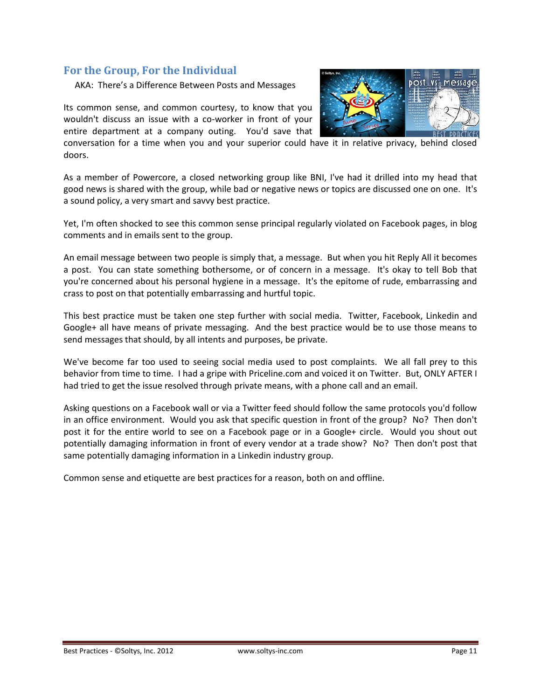#### <span id="page-10-0"></span>**For the Group, For the Individual**

AKA: There's a Difference Between Posts and Messages

Its common sense, and common courtesy, to know that you wouldn't discuss an issue with a co-worker in front of your entire department at a company outing. You'd save that



conversation for a time when you and your superior could have it in relative privacy, behind closed doors.

As a member of Powercore, a closed networking group like BNI, I've had it drilled into my head that good news is shared with the group, while bad or negative news or topics are discussed one on one. It's a sound policy, a very smart and savvy best practice.

Yet, I'm often shocked to see this common sense principal regularly violated on Facebook pages, in blog comments and in emails sent to the group.

An email message between two people is simply that, a message. But when you hit Reply All it becomes a post. You can state something bothersome, or of concern in a message. It's okay to tell Bob that you're concerned about his personal hygiene in a message. It's the epitome of rude, embarrassing and crass to post on that potentially embarrassing and hurtful topic.

This best practice must be taken one step further with social media. Twitter, Facebook, Linkedin and Google+ all have means of private messaging. And the best practice would be to use those means to send messages that should, by all intents and purposes, be private.

We've become far too used to seeing social media used to post complaints. We all fall prey to this behavior from time to time. I had a gripe with Priceline.com and voiced it on Twitter. But, ONLY AFTER I had tried to get the issue resolved through private means, with a phone call and an email.

Asking questions on a Facebook wall or via a Twitter feed should follow the same protocols you'd follow in an office environment. Would you ask that specific question in front of the group? No? Then don't post it for the entire world to see on a Facebook page or in a Google+ circle. Would you shout out potentially damaging information in front of every vendor at a trade show? No? Then don't post that same potentially damaging information in a Linkedin industry group.

Common sense and etiquette are best practices for a reason, both on and offline.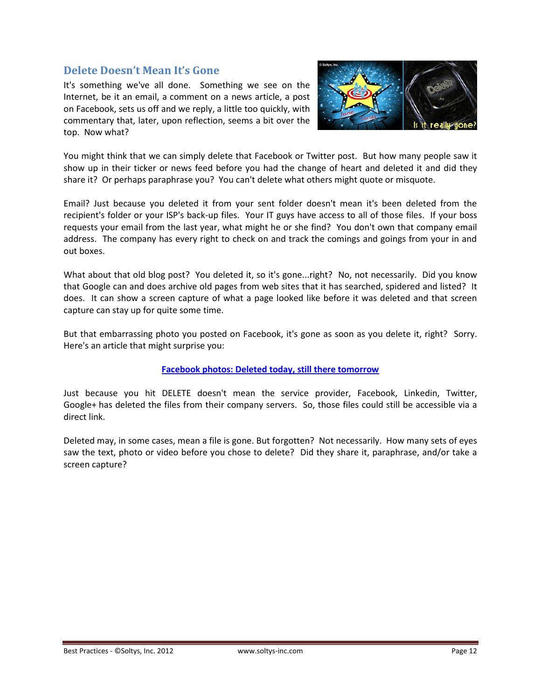#### <span id="page-11-0"></span>**Delete Doesn't Mean It's Gone**

It's something we've all done. Something we see on the Internet, be it an email, a comment on a news article, a post on Facebook, sets us off and we reply, a little too quickly, with commentary that, later, upon reflection, seems a bit over the top. Now what?



You might think that we can simply delete that Facebook or Twitter post. But how many people saw it show up in their ticker or news feed before you had the change of heart and deleted it and did they share it? Or perhaps paraphrase you? You can't delete what others might quote or misquote.

Email? Just because you deleted it from your sent folder doesn't mean it's been deleted from the recipient's folder or your ISP's back-up files. Your IT guys have access to all of those files. If your boss requests your email from the last year, what might he or she find? You don't own that company email address. The company has every right to check on and track the comings and goings from your in and out boxes.

What about that old blog post? You deleted it, so it's gone...right? No, not necessarily. Did you know that Google can and does archive old pages from web sites that it has searched, spidered and listed? It does. It can show a screen capture of what a page looked like before it was deleted and that screen capture can stay up for quite some time.

But that embarrassing photo you posted on Facebook, it's gone as soon as you delete it, right? Sorry. Here's an article that might surprise you:

#### **[Facebook photos: Deleted today, still there tomorrow](http://news.cnet.com/8301-1023_3-57371965-93/facebook-photos-deleted-today-still-there-tomorrow/)**

Just because you hit DELETE doesn't mean the service provider, Facebook, Linkedin, Twitter, Google+ has deleted the files from their company servers. So, those files could still be accessible via a direct link.

Deleted may, in some cases, mean a file is gone. But forgotten? Not necessarily. How many sets of eyes saw the text, photo or video before you chose to delete? Did they share it, paraphrase, and/or take a screen capture?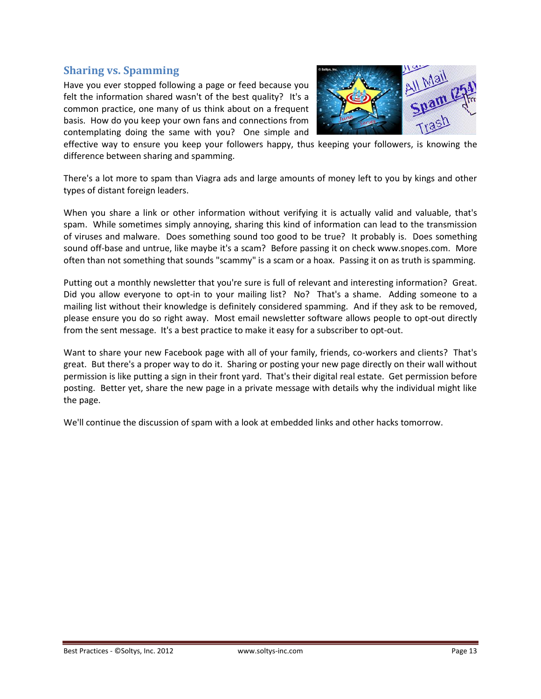#### <span id="page-12-0"></span>**Sharing vs. Spamming**

Have you ever stopped following a page or feed because you felt the information shared wasn't of the best quality? It's a common practice, one many of us think about on a frequent basis. How do you keep your own fans and connections from contemplating doing the same with you? One simple and



effective way to ensure you keep your followers happy, thus keeping your followers, is knowing the difference between sharing and spamming.

There's a lot more to spam than Viagra ads and large amounts of money left to you by kings and other types of distant foreign leaders.

When you share a link or other information without verifying it is actually valid and valuable, that's spam. While sometimes simply annoying, sharing this kind of information can lead to the transmission of viruses and malware. Does something sound too good to be true? It probably is. Does something sound off-base and untrue, like maybe it's a scam? Before passing it on check www.snopes.com. More often than not something that sounds "scammy" is a scam or a hoax. Passing it on as truth is spamming.

Putting out a monthly newsletter that you're sure is full of relevant and interesting information? Great. Did you allow everyone to opt-in to your mailing list? No? That's a shame. Adding someone to a mailing list without their knowledge is definitely considered spamming. And if they ask to be removed, please ensure you do so right away. Most email newsletter software allows people to opt-out directly from the sent message. It's a best practice to make it easy for a subscriber to opt-out.

Want to share your new Facebook page with all of your family, friends, co-workers and clients? That's great. But there's a proper way to do it. Sharing or posting your new page directly on their wall without permission is like putting a sign in their front yard. That's their digital real estate. Get permission before posting. Better yet, share the new page in a private message with details why the individual might like the page.

We'll continue the discussion of spam with a look at embedded links and other hacks tomorrow.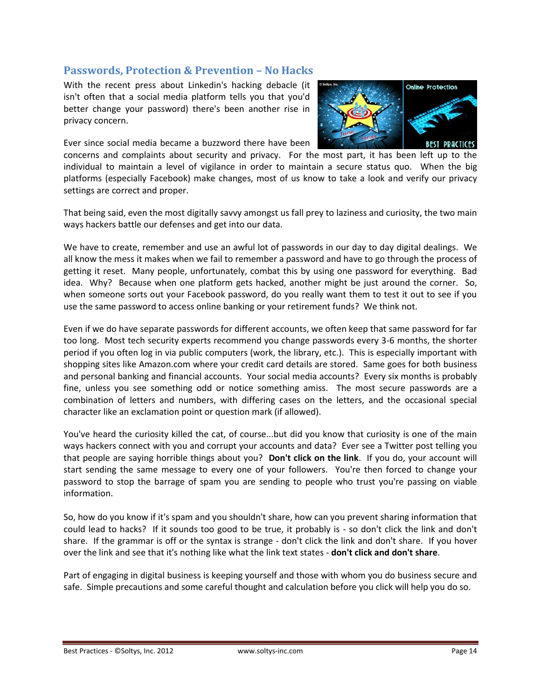#### <span id="page-13-0"></span>**Passwords, Protection & Prevention – No Hacks**

With the recent press about Linkedin's hacking debacle (it isn't often that a social media platform tells you that you'd better change your password) there's been another rise in privacy concern.

Ever since social media became a buzzword there have been



concerns and complaints about security and privacy. For the most part, it has been left up to the individual to maintain a level of vigilance in order to maintain a secure status quo. When the big platforms (especially Facebook) make changes, most of us know to take a look and verify our privacy settings are correct and proper.

That being said, even the most digitally savvy amongst us fall prey to laziness and curiosity, the two main ways hackers battle our defenses and get into our data.

We have to create, remember and use an awful lot of passwords in our day to day digital dealings. We all know the mess it makes when we fail to remember a password and have to go through the process of getting it reset. Many people, unfortunately, combat this by using one password for everything. Bad idea. Why? Because when one platform gets hacked, another might be just around the corner. So, when someone sorts out your Facebook password, do you really want them to test it out to see if you use the same password to access online banking or your retirement funds? We think not.

Even if we do have separate passwords for different accounts, we often keep that same password for far too long. Most tech security experts recommend you change passwords every 3-6 months, the shorter period if you often log in via public computers (work, the library, etc.). This is especially important with shopping sites like Amazon.com where your credit card details are stored. Same goes for both business and personal banking and financial accounts. Your social media accounts? Every six months is probably fine, unless you see something odd or notice something amiss. The most secure passwords are a combination of letters and numbers, with differing cases on the letters, and the occasional special character like an exclamation point or question mark (if allowed).

You've heard the curiosity killed the cat, of course...but did you know that curiosity is one of the main ways hackers connect with you and corrupt your accounts and data? Ever see a Twitter post telling you that people are saying horrible things about you? **Don't click on the link**. If you do, your account will start sending the same message to every one of your followers. You're then forced to change your password to stop the barrage of spam you are sending to people who trust you're passing on viable information.

So, how do you know if it's spam and you shouldn't share, how can you prevent sharing information that could lead to hacks? If it sounds too good to be true, it probably is - so don't click the link and don't share. If the grammar is off or the syntax is strange - don't click the link and don't share. If you hover over the link and see that it's nothing like what the link text states - **don't click and don't share**.

Part of engaging in digital business is keeping yourself and those with whom you do business secure and safe. Simple precautions and some careful thought and calculation before you click will help you do so.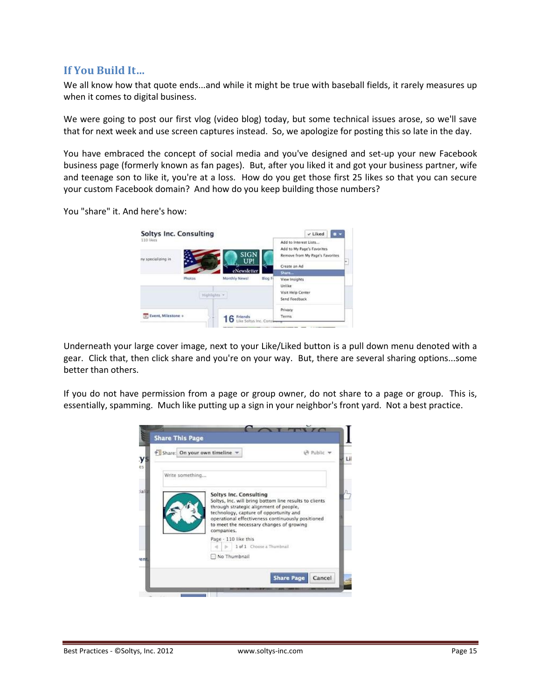#### <span id="page-14-0"></span>**If You Build It…**

We all know how that quote ends...and while it might be true with baseball fields, it rarely measures up when it comes to digital business.

We were going to post our first vlog (video blog) today, but some technical issues arose, so we'll save that for next week and use screen captures instead. So, we apologize for posting this so late in the day.

You have embraced the concept of social media and you've designed and set-up your new Facebook business page (formerly known as fan pages). But, after you liked it and got your business partner, wife and teenage son to like it, you're at a loss. How do you get those first 25 likes so that you can secure your custom Facebook domain? And how do you keep building those numbers?

You "share" it. And here's how:

| 110 likes<br>ny specializing in                    |        | <b>SIGN</b><br>UP! | Add to Interest Lists<br>Add to My Page's Favorites<br>Remove from My Page's Favorites<br>w. |
|----------------------------------------------------|--------|--------------------|----------------------------------------------------------------------------------------------|
|                                                    |        | ewsletter          | Create an Ad                                                                                 |
|                                                    | Photos | Monthly News!      | Share<br>Blog Fi<br>View Insights<br>Unlike                                                  |
| Highlights -                                       |        |                    | Visit Help Center<br>Send Feedback                                                           |
| [51] Event, Milestone +<br>Like Soltys Inc. Consum |        | Friends            | Privacy<br>Terms                                                                             |

Underneath your large cover image, next to your Like/Liked button is a pull down menu denoted with a gear. Click that, then click share and you're on your way. But, there are several sharing options...some better than others.

If you do not have permission from a page or group owner, do not share to a page or group. This is, essentially, spamming. Much like putting up a sign in your neighbor's front yard. Not a best practice.

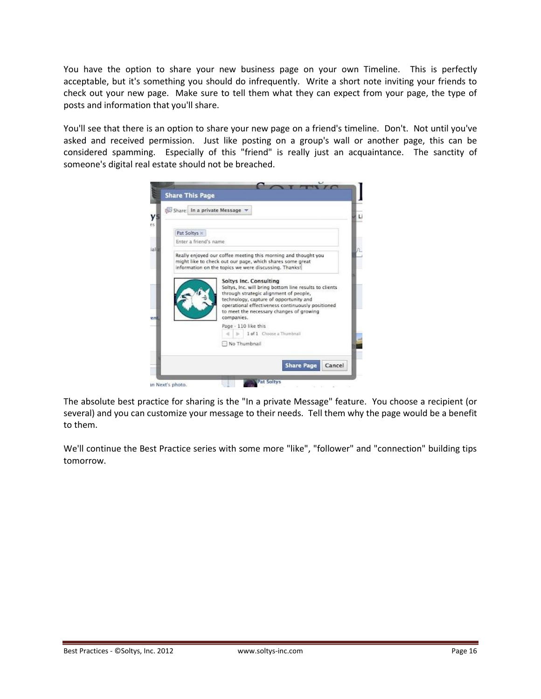You have the option to share your new business page on your own Timeline. This is perfectly acceptable, but it's something you should do infrequently. Write a short note inviting your friends to check out your new page. Make sure to tell them what they can expect from your page, the type of posts and information that you'll share.

You'll see that there is an option to share your new page on a friend's timeline. Don't. Not until you've asked and received permission. Just like posting on a group's wall or another page, this can be considered spamming. Especially of this "friend" is really just an acquaintance. The sanctity of someone's digital real estate should not be breached.



The absolute best practice for sharing is the "In a private Message" feature. You choose a recipient (or several) and you can customize your message to their needs. Tell them why the page would be a benefit to them.

We'll continue the Best Practice series with some more "like", "follower" and "connection" building tips tomorrow.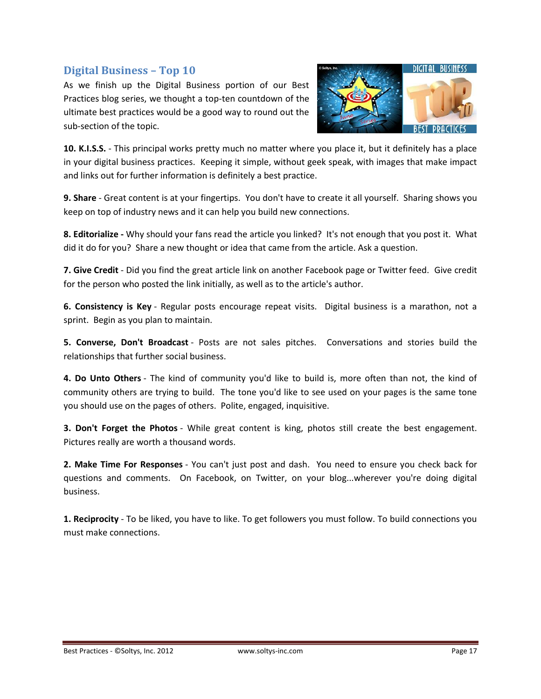#### <span id="page-16-0"></span>**Digital Business – Top 10**

As we finish up the Digital Business portion of our Best Practices blog series, we thought a top-ten countdown of the ultimate best practices would be a good way to round out the sub-section of the topic.



**10. K.I.S.S.** - This principal works pretty much no matter where you place it, but it definitely has a place in your digital business practices. Keeping it simple, without geek speak, with images that make impact and links out for further information is definitely a best practice.

**9. Share** - Great content is at your fingertips. You don't have to create it all yourself. Sharing shows you keep on top of industry news and it can help you build new connections.

**8. Editorialize -** Why should your fans read the article you linked? It's not enough that you post it. What did it do for you? Share a new thought or idea that came from the article. Ask a question.

**7. Give Credit** - Did you find the great article link on another Facebook page or Twitter feed. Give credit for the person who posted the link initially, as well as to the article's author.

**6. Consistency is Key** - Regular posts encourage repeat visits. Digital business is a marathon, not a sprint. Begin as you plan to maintain.

**5. Converse, Don't Broadcast** - Posts are not sales pitches. Conversations and stories build the relationships that further social business.

**4. Do Unto Others** - The kind of community you'd like to build is, more often than not, the kind of community others are trying to build. The tone you'd like to see used on your pages is the same tone you should use on the pages of others. Polite, engaged, inquisitive.

**3. Don't Forget the Photos** - While great content is king, photos still create the best engagement. Pictures really are worth a thousand words.

**2. Make Time For Responses** - You can't just post and dash. You need to ensure you check back for questions and comments. On Facebook, on Twitter, on your blog...wherever you're doing digital business.

**1. Reciprocity** - To be liked, you have to like. To get followers you must follow. To build connections you must make connections.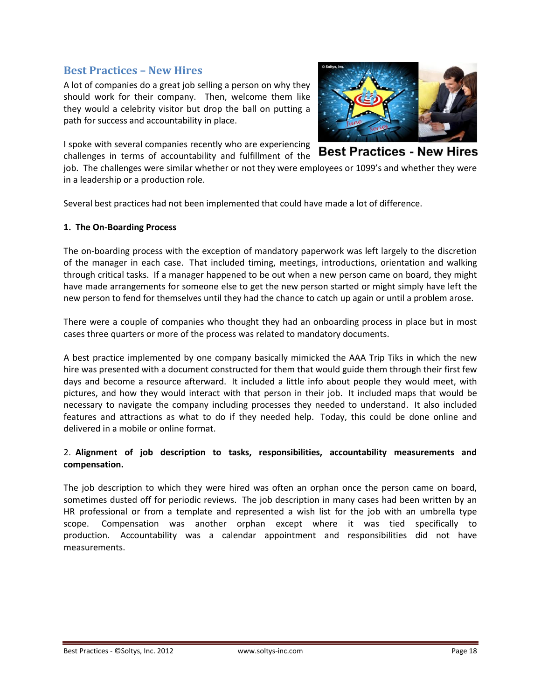#### <span id="page-17-0"></span>**Best Practices – New Hires**

A lot of companies do a great job selling a person on why they should work for their company. Then, welcome them like they would a celebrity visitor but drop the ball on putting a path for success and accountability in place.

I spoke with several companies recently who are experiencing



**Best Practices - New Hires** challenges in terms of accountability and fulfillment of the job. The challenges were similar whether or not they were employees or 1099's and whether they were in a leadership or a production role.

Several best practices had not been implemented that could have made a lot of difference.

#### **1. The On-Boarding Process**

The on-boarding process with the exception of mandatory paperwork was left largely to the discretion of the manager in each case. That included timing, meetings, introductions, orientation and walking through critical tasks. If a manager happened to be out when a new person came on board, they might have made arrangements for someone else to get the new person started or might simply have left the new person to fend for themselves until they had the chance to catch up again or until a problem arose.

There were a couple of companies who thought they had an onboarding process in place but in most cases three quarters or more of the process was related to mandatory documents.

A best practice implemented by one company basically mimicked the AAA Trip Tiks in which the new hire was presented with a document constructed for them that would guide them through their first few days and become a resource afterward. It included a little info about people they would meet, with pictures, and how they would interact with that person in their job. It included maps that would be necessary to navigate the company including processes they needed to understand. It also included features and attractions as what to do if they needed help. Today, this could be done online and delivered in a mobile or online format.

#### 2. **Alignment of job description to tasks, responsibilities, accountability measurements and compensation.**

The job description to which they were hired was often an orphan once the person came on board, sometimes dusted off for periodic reviews. The job description in many cases had been written by an HR professional or from a template and represented a wish list for the job with an umbrella type scope. Compensation was another orphan except where it was tied specifically to production. Accountability was a calendar appointment and responsibilities did not have measurements.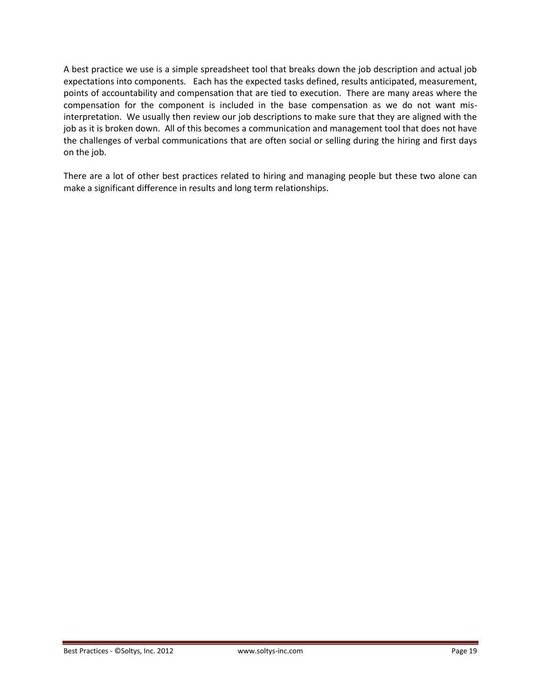A best practice we use is a simple spreadsheet tool that breaks down the job description and actual job expectations into components. Each has the expected tasks defined, results anticipated, measurement, points of accountability and compensation that are tied to execution. There are many areas where the compensation for the component is included in the base compensation as we do not want misinterpretation. We usually then review our job descriptions to make sure that they are aligned with the job as it is broken down. All of this becomes a communication and management tool that does not have the challenges of verbal communications that are often social or selling during the hiring and first days on the job.

There are a lot of other best practices related to hiring and managing people but these two alone can make a significant difference in results and long term relationships.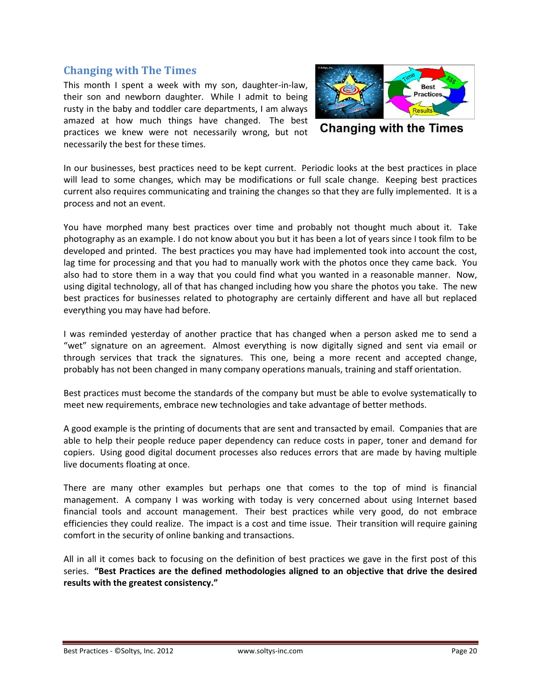#### <span id="page-19-0"></span>**Changing with The Times**

This month I spent a week with my son, daughter-in-law, their son and newborn daughter. While I admit to being rusty in the baby and toddler care departments, I am always amazed at how much things have changed. The best practices we knew were not necessarily wrong, but not necessarily the best for these times.



**Changing with the Times** 

In our businesses, best practices need to be kept current. Periodic looks at the best practices in place will lead to some changes, which may be modifications or full scale change. Keeping best practices current also requires communicating and training the changes so that they are fully implemented. It is a process and not an event.

You have morphed many best practices over time and probably not thought much about it. Take photography as an example. I do not know about you but it has been a lot of years since I took film to be developed and printed. The best practices you may have had implemented took into account the cost, lag time for processing and that you had to manually work with the photos once they came back. You also had to store them in a way that you could find what you wanted in a reasonable manner. Now, using digital technology, all of that has changed including how you share the photos you take. The new best practices for businesses related to photography are certainly different and have all but replaced everything you may have had before.

I was reminded yesterday of another practice that has changed when a person asked me to send a "wet" signature on an agreement. Almost everything is now digitally signed and sent via email or through services that track the signatures. This one, being a more recent and accepted change, probably has not been changed in many company operations manuals, training and staff orientation.

Best practices must become the standards of the company but must be able to evolve systematically to meet new requirements, embrace new technologies and take advantage of better methods.

A good example is the printing of documents that are sent and transacted by email. Companies that are able to help their people reduce paper dependency can reduce costs in paper, toner and demand for copiers. Using good digital document processes also reduces errors that are made by having multiple live documents floating at once.

There are many other examples but perhaps one that comes to the top of mind is financial management. A company I was working with today is very concerned about using Internet based financial tools and account management. Their best practices while very good, do not embrace efficiencies they could realize. The impact is a cost and time issue. Their transition will require gaining comfort in the security of online banking and transactions.

All in all it comes back to focusing on the definition of best practices we gave in the first post of this series. **"Best Practices are the defined methodologies aligned to an objective that drive the desired results with the greatest consistency."**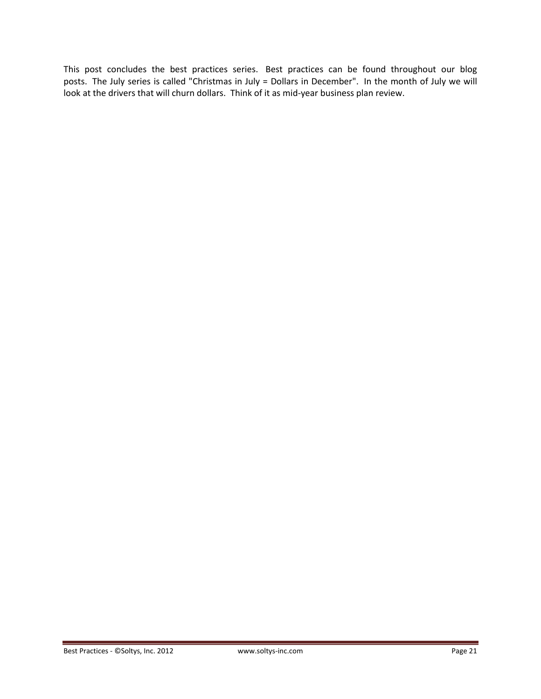This post concludes the best practices series. Best practices can be found throughout our blog posts. The July series is called "Christmas in July = Dollars in December". In the month of July we will look at the drivers that will churn dollars. Think of it as mid-year business plan review.